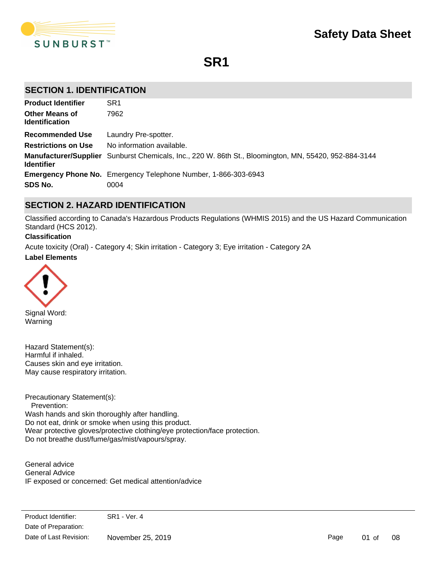

**SR1**

## **SECTION 1. IDENTIFICATION**

| <b>Product Identifier</b>                      | SR <sub>1</sub>                                                                                       |
|------------------------------------------------|-------------------------------------------------------------------------------------------------------|
| <b>Other Means of</b><br><b>Identification</b> | 7962                                                                                                  |
| <b>Recommended Use</b>                         | Laundry Pre-spotter.                                                                                  |
| <b>Restrictions on Use</b>                     | No information available.                                                                             |
| <b>Identifier</b>                              | Manufacturer/Supplier Sunburst Chemicals, Inc., 220 W. 86th St., Bloomington, MN, 55420, 952-884-3144 |
|                                                | <b>Emergency Phone No.</b> Emergency Telephone Number, 1-866-303-6943                                 |
| SDS No.                                        | 0004                                                                                                  |

# **SECTION 2. HAZARD IDENTIFICATION**

Classified according to Canada's Hazardous Products Regulations (WHMIS 2015) and the US Hazard Communication Standard (HCS 2012).

#### **Classification**

**Label Elements** Acute toxicity (Oral) - Category 4; Skin irritation - Category 3; Eye irritation - Category 2A



Signal Word: Warning

Hazard Statement(s): Harmful if inhaled. Causes skin and eye irritation. May cause respiratory irritation.

Precautionary Statement(s): Prevention: Wash hands and skin thoroughly after handling. Do not eat, drink or smoke when using this product. Wear protective gloves/protective clothing/eye protection/face protection. Do not breathe dust/fume/gas/mist/vapours/spray.

General advice General Advice IF exposed or concerned: Get medical attention/advice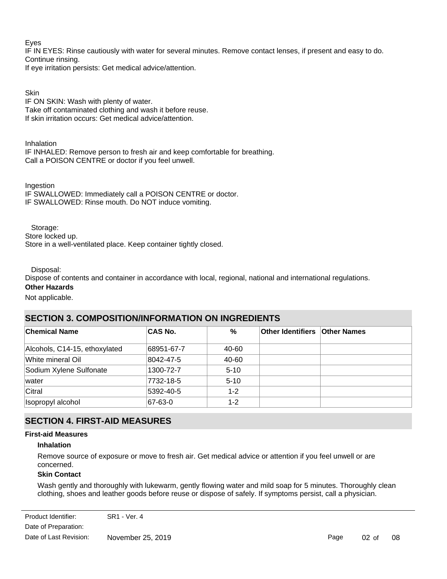Eyes

IF IN EYES: Rinse cautiously with water for several minutes. Remove contact lenses, if present and easy to do. Continue rinsing.

If eye irritation persists: Get medical advice/attention.

**Skin** 

IF ON SKIN: Wash with plenty of water. Take off contaminated clothing and wash it before reuse. If skin irritation occurs: Get medical advice/attention.

Inhalation

IF INHALED: Remove person to fresh air and keep comfortable for breathing. Call a POISON CENTRE or doctor if you feel unwell.

Ingestion IF SWALLOWED: Immediately call a POISON CENTRE or doctor. IF SWALLOWED: Rinse mouth. Do NOT induce vomiting.

 Storage: Store locked up. Store in a well-ventilated place. Keep container tightly closed.

Disposal:

Dispose of contents and container in accordance with local, regional, national and international regulations.

**Other Hazards** Not applicable.

# **SECTION 3. COMPOSITION/INFORMATION ON INGREDIENTS**

| <b>Chemical Name</b>          | <b>CAS No.</b> | %        | <b>Other Identifiers Other Names</b> |  |
|-------------------------------|----------------|----------|--------------------------------------|--|
| Alcohols, C14-15, ethoxylated | 68951-67-7     | 40-60    |                                      |  |
| White mineral Oil             | 8042-47-5      | 40-60    |                                      |  |
| Sodium Xylene Sulfonate       | 1300-72-7      | $5 - 10$ |                                      |  |
| lwater                        | 7732-18-5      | $5 - 10$ |                                      |  |
| Citral                        | 5392-40-5      | $1 - 2$  |                                      |  |
| Isopropyl alcohol             | 67-63-0        | $1 - 2$  |                                      |  |

# **SECTION 4. FIRST-AID MEASURES**

## **First-aid Measures**

## **Inhalation**

Remove source of exposure or move to fresh air. Get medical advice or attention if you feel unwell or are concerned.

## **Skin Contact**

Wash gently and thoroughly with lukewarm, gently flowing water and mild soap for 5 minutes. Thoroughly clean clothing, shoes and leather goods before reuse or dispose of safely. If symptoms persist, call a physician.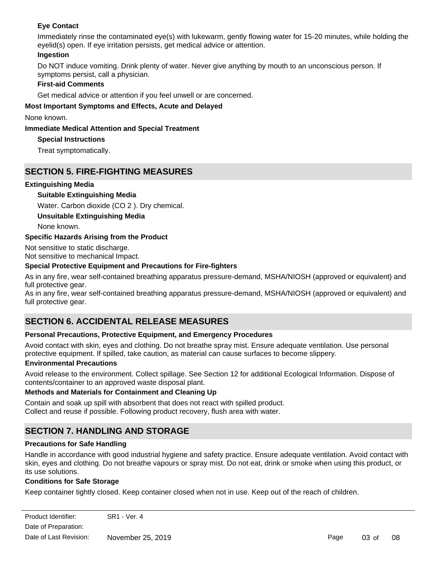## **Eye Contact**

Immediately rinse the contaminated eye(s) with lukewarm, gently flowing water for 15-20 minutes, while holding the eyelid(s) open. If eye irritation persists, get medical advice or attention.

### **Ingestion**

Do NOT induce vomiting. Drink plenty of water. Never give anything by mouth to an unconscious person. If symptoms persist, call a physician.

## **First-aid Comments**

Get medical advice or attention if you feel unwell or are concerned.

### **Most Important Symptoms and Effects, Acute and Delayed**

None known.

### **Immediate Medical Attention and Special Treatment**

## **Special Instructions**

Treat symptomatically.

## **SECTION 5. FIRE-FIGHTING MEASURES**

### **Extinguishing Media**

### **Suitable Extinguishing Media**

Water. Carbon dioxide (CO 2 ). Dry chemical.

**Unsuitable Extinguishing Media**

None known.

### **Specific Hazards Arising from the Product**

Not sensitive to static discharge. Not sensitive to mechanical Impact.

#### **Special Protective Equipment and Precautions for Fire-fighters**

As in any fire, wear self-contained breathing apparatus pressure-demand, MSHA/NIOSH (approved or equivalent) and full protective gear.

As in any fire, wear self-contained breathing apparatus pressure-demand, MSHA/NIOSH (approved or equivalent) and full protective gear.

# **SECTION 6. ACCIDENTAL RELEASE MEASURES**

### **Personal Precautions, Protective Equipment, and Emergency Procedures**

Avoid contact with skin, eyes and clothing. Do not breathe spray mist. Ensure adequate ventilation. Use personal protective equipment. If spilled, take caution, as material can cause surfaces to become slippery.

### **Environmental Precautions**

Avoid release to the environment. Collect spillage. See Section 12 for additional Ecological Information. Dispose of contents/container to an approved waste disposal plant.

### **Methods and Materials for Containment and Cleaning Up**

Contain and soak up spill with absorbent that does not react with spilled product. Collect and reuse if possible. Following product recovery, flush area with water.

# **SECTION 7. HANDLING AND STORAGE**

### **Precautions for Safe Handling**

Handle in accordance with good industrial hygiene and safety practice. Ensure adequate ventilation. Avoid contact with skin, eyes and clothing. Do not breathe vapours or spray mist. Do not eat, drink or smoke when using this product, or its use solutions.

### **Conditions for Safe Storage**

Keep container tightly closed. Keep container closed when not in use. Keep out of the reach of children.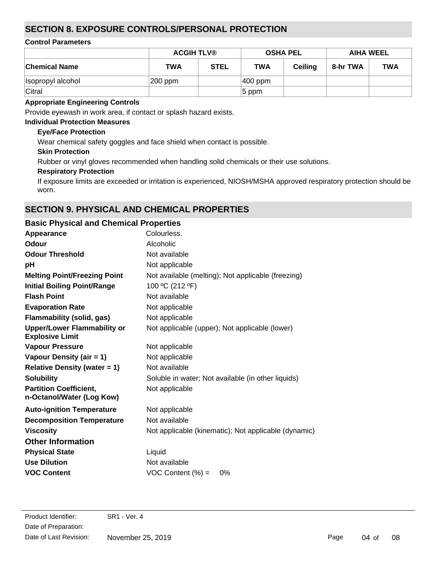# **SECTION 8. EXPOSURE CONTROLS/PERSONAL PROTECTION**

## **Control Parameters**

|                      | <b>ACGIH TLV®</b><br><b>OSHA PEL</b> |             | <b>AIHA WEEL</b> |                |          |            |
|----------------------|--------------------------------------|-------------|------------------|----------------|----------|------------|
| <b>Chemical Name</b> | <b>TWA</b>                           | <b>STEL</b> | <b>TWA</b>       | <b>Ceiling</b> | 8-hr TWA | <b>TWA</b> |
| Isopropyl alcohol    | $ 200$ ppm                           |             | $ 400$ ppm       |                |          |            |
| Citral               |                                      |             | $5$ ppm          |                |          |            |

## **Appropriate Engineering Controls**

Provide eyewash in work area, if contact or splash hazard exists.

## **Individual Protection Measures**

## **Eye/Face Protection**

Wear chemical safety goggles and face shield when contact is possible.

## **Skin Protection**

Rubber or vinyl gloves recommended when handling solid chemicals or their use solutions.

## **Respiratory Protection**

If exposure limits are exceeded or irritation is experienced, NIOSH/MSHA approved respiratory protection should be worn.

# **SECTION 9. PHYSICAL AND CHEMICAL PROPERTIES**

| <b>Basic Physical and Chemical Properties</b>                |                                                      |
|--------------------------------------------------------------|------------------------------------------------------|
| Appearance                                                   | Colourless.                                          |
| <b>Odour</b>                                                 | Alcoholic                                            |
| <b>Odour Threshold</b>                                       | Not available                                        |
| рH                                                           | Not applicable                                       |
| <b>Melting Point/Freezing Point</b>                          | Not available (melting); Not applicable (freezing)   |
| <b>Initial Boiling Point/Range</b>                           | 100 °C (212 °F)                                      |
| <b>Flash Point</b>                                           | Not available                                        |
| <b>Evaporation Rate</b>                                      | Not applicable                                       |
| <b>Flammability (solid, gas)</b>                             | Not applicable                                       |
| <b>Upper/Lower Flammability or</b><br><b>Explosive Limit</b> | Not applicable (upper); Not applicable (lower)       |
| <b>Vapour Pressure</b>                                       | Not applicable                                       |
| Vapour Density (air = 1)                                     | Not applicable                                       |
| <b>Relative Density (water = 1)</b>                          | Not available                                        |
| <b>Solubility</b>                                            | Soluble in water; Not available (in other liquids)   |
| <b>Partition Coefficient,</b><br>n-Octanol/Water (Log Kow)   | Not applicable                                       |
| <b>Auto-ignition Temperature</b>                             | Not applicable                                       |
| <b>Decomposition Temperature</b>                             | Not available                                        |
| <b>Viscosity</b>                                             | Not applicable (kinematic); Not applicable (dynamic) |
| <b>Other Information</b>                                     |                                                      |
| <b>Physical State</b>                                        | Liquid                                               |
| <b>Use Dilution</b>                                          | Not available                                        |
| <b>VOC Content</b>                                           | $VOC$ Content $(\%) =$<br>0%                         |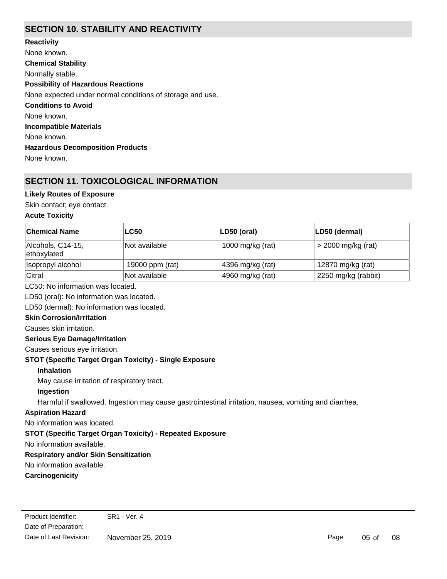# **SECTION 10. STABILITY AND REACTIVITY**

**Chemical Stability** Normally stable. **Conditions to Avoid** None known. **Incompatible Materials** None known. **Hazardous Decomposition Products** None known. **Possibility of Hazardous Reactions** None expected under normal conditions of storage and use. **Reactivity** None known.

# **SECTION 11. TOXICOLOGICAL INFORMATION**

## **Likely Routes of Exposure**

Skin contact; eye contact.

#### **Acute Toxicity**

| <b>Chemical Name</b>              | <b>LC50</b>     | LD50 (oral)      | LD50 (dermal)        |  |
|-----------------------------------|-----------------|------------------|----------------------|--|
| Alcohols, C14-15,<br>ethoxylated  | Not available   | 1000 mg/kg (rat) | $>$ 2000 mg/kg (rat) |  |
| Isopropyl alcohol                 | 19000 ppm (rat) | 4396 mg/kg (rat) | 12870 mg/kg (rat)    |  |
| Citral                            | Not available   | 4960 mg/kg (rat) | 2250 mg/kg (rabbit)  |  |
| LC50: No information was located. |                 |                  |                      |  |

LD50 (oral): No information was located.

LD50 (dermal): No information was located.

### **Skin Corrosion/Irritation**

Causes skin irritation.

### **Serious Eye Damage/Irritation**

Causes serious eye irritation.

**STOT (Specific Target Organ Toxicity) - Single Exposure**

### **Inhalation**

May cause irritation of respiratory tract.

### **Ingestion**

Harmful if swallowed. Ingestion may cause gastrointestinal irritation, nausea, vomiting and diarrhea.

### **Aspiration Hazard**

No information was located.

# **STOT (Specific Target Organ Toxicity) - Repeated Exposure**

No information available.

# **Respiratory and/or Skin Sensitization**

No information available.

# **Carcinogenicity**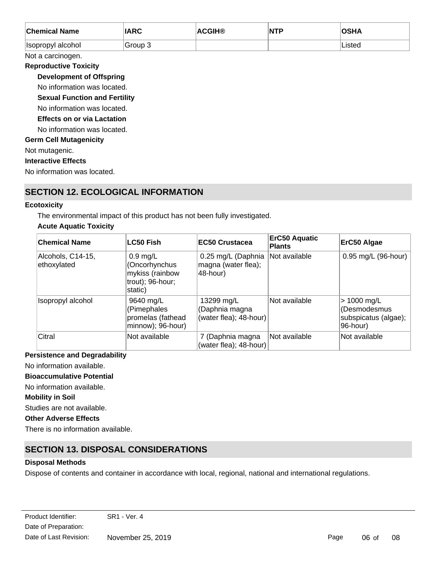| <b>Chemical Name</b>                 | <b>IARC</b> | <b>ACGIH®</b> | <b>NTP</b> | <b>OSHA</b> |
|--------------------------------------|-------------|---------------|------------|-------------|
| Isopropyl alcohol                    | Group 3     |               |            | Listed      |
| Not a carcinogen.                    |             |               |            |             |
| <b>Reproductive Toxicity</b>         |             |               |            |             |
| <b>Development of Offspring</b>      |             |               |            |             |
| No information was located.          |             |               |            |             |
| <b>Sexual Function and Fertility</b> |             |               |            |             |
| No information was located.          |             |               |            |             |
| <b>Effects on or via Lactation</b>   |             |               |            |             |
| No information was located.          |             |               |            |             |
| <b>Germ Cell Mutagenicity</b>        |             |               |            |             |
| Not mutagenic.                       |             |               |            |             |
| <b>Interactive Effects</b>           |             |               |            |             |
| No information was located.          |             |               |            |             |

# **SECTION 12. ECOLOGICAL INFORMATION**

### **Ecotoxicity**

The environmental impact of this product has not been fully investigated.

## **Acute Aquatic Toxicity**

| <b>Chemical Name</b>             | <b>LC50 Fish</b>                                                              | EC50 Crustacea                                         | <b>ErC50 Aquatic</b><br><b>Plants</b> | ErC50 Algae                                                       |
|----------------------------------|-------------------------------------------------------------------------------|--------------------------------------------------------|---------------------------------------|-------------------------------------------------------------------|
| Alcohols, C14-15,<br>ethoxylated | $0.9$ mg/L<br>(Oncorhynchus<br>mykiss (rainbow<br>trout); 96-hour;<br>static) | 0.25 mg/L (Daphnia<br>magna (water flea);<br>48-hour)  | Not available                         | 0.95 mg/L (96-hour)                                               |
| Isopropyl alcohol                | 9640 mg/L<br>(Pimephales<br>promelas (fathead<br>minnow); 96-hour)            | 13299 mg/L<br>(Daphnia magna<br>(water flea); 48-hour) | Not available                         | $> 1000$ mg/L<br>(Desmodesmus<br>subspicatus (algae);<br>96-hour) |
| Citral                           | Not available                                                                 | 7 (Daphnia magna<br>(water flea); 48-hour)             | Not available                         | Not available                                                     |

## **Persistence and Degradability**

No information available.

## **Bioaccumulative Potential**

No information available.

## **Mobility in Soil**

Studies are not available.

## **Other Adverse Effects**

There is no information available.

# **SECTION 13. DISPOSAL CONSIDERATIONS**

## **Disposal Methods**

Dispose of contents and container in accordance with local, regional, national and international regulations.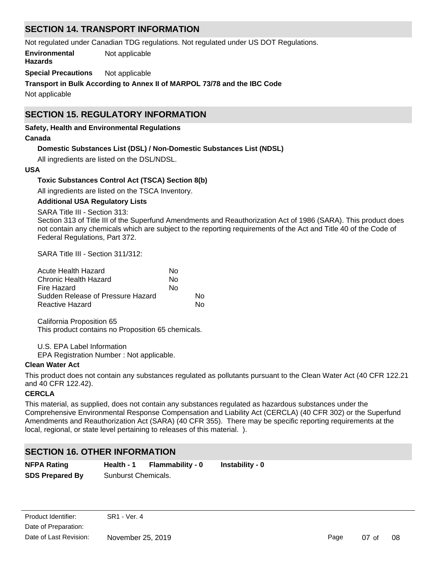# **SECTION 14. TRANSPORT INFORMATION**

Not regulated under Canadian TDG regulations. Not regulated under US DOT Regulations.

**Environmental** Not applicable

## **Hazards**

**Special Precautions** Not applicable

**Transport in Bulk According to Annex II of MARPOL 73/78 and the IBC Code**

Not applicable

# **SECTION 15. REGULATORY INFORMATION**

#### **Safety, Health and Environmental Regulations**

#### **Canada**

## **Domestic Substances List (DSL) / Non-Domestic Substances List (NDSL)**

All ingredients are listed on the DSL/NDSL.

#### **USA**

### **Toxic Substances Control Act (TSCA) Section 8(b)**

All ingredients are listed on the TSCA Inventory.

#### **Additional USA Regulatory Lists**

SARA Title III - Section 313:

Section 313 of Title III of the Superfund Amendments and Reauthorization Act of 1986 (SARA). This product does not contain any chemicals which are subject to the reporting requirements of the Act and Title 40 of the Code of Federal Regulations, Part 372.

SARA Title III - Section 311/312:

| Acute Health Hazard               | No |    |
|-----------------------------------|----|----|
| Chronic Health Hazard             | N٥ |    |
| Fire Hazard                       | N٥ |    |
| Sudden Release of Pressure Hazard |    | N٥ |
| Reactive Hazard                   |    | N٥ |

California Proposition 65 This product contains no Proposition 65 chemicals.

U.S. EPA Label Information

EPA Registration Number : Not applicable.

### **Clean Water Act**

This product does not contain any substances regulated as pollutants pursuant to the Clean Water Act (40 CFR 122.21 and 40 CFR 122.42).

### **CERCLA**

This material, as supplied, does not contain any substances regulated as hazardous substances under the Comprehensive Environmental Response Compensation and Liability Act (CERCLA) (40 CFR 302) or the Superfund Amendments and Reauthorization Act (SARA) (40 CFR 355). There may be specific reporting requirements at the local, regional, or state level pertaining to releases of this material. ).

# **SECTION 16. OTHER INFORMATION**

| <b>NFPA Rating</b>     | Health - 1          | Flammability - 0 | Instability - 0 |
|------------------------|---------------------|------------------|-----------------|
| <b>SDS Prepared By</b> | Sunburst Chemicals. |                  |                 |